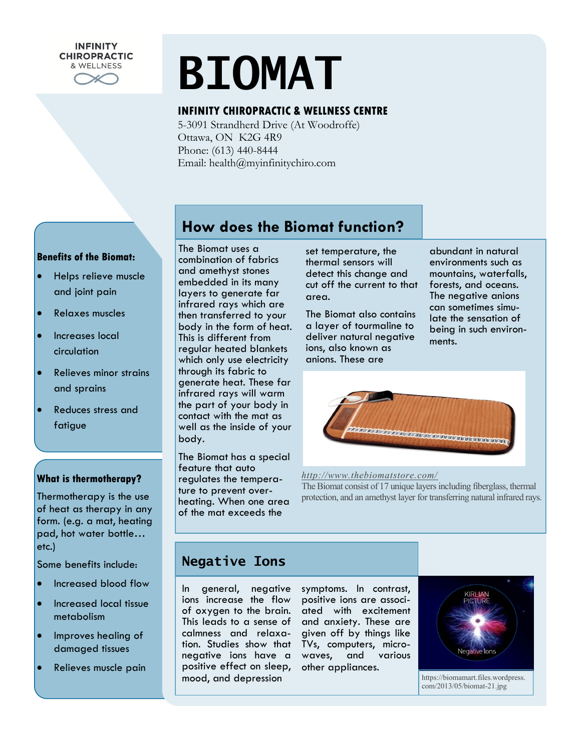# **BIOMAT**

#### **INFINITY CHIROPRACTIC & WELLNESS CENTRE**

5-3091 Strandherd Drive (At Woodroffe) Ottawa, ON K2G 4R9 Phone: (613) 440-8444 Email: health@myinfinitychiro.com

#### **Benefits of the Biomat:**

**INFINITY CHIROPRACTIC** & WELLNESS

- Helps relieve muscle and joint pain
- Relaxes muscles
- Increases local circulation
- Relieves minor strains and sprains
- Reduces stress and fatigue

#### **What is thermotherapy?**

Thermotherapy is the use of heat as therapy in any form. (e.g. a mat, heating pad, hot water bottle… etc.)

Some benefits include:

- Increased blood flow
- Increased local tissue metabolism
- Improves healing of damaged tissues
- Relieves muscle pain

# **How does the Biomat function?**

The Biomat uses a combination of fabrics and amethyst stones embedded in its many layers to generate far infrared rays which are then transferred to your body in the form of heat. This is different from regular heated blankets which only use electricity through its fabric to generate heat. These far infrared rays will warm the part of your body in contact with the mat as well as the inside of your body.

The Biomat has a special feature that auto regulates the temperature to prevent overheating. When one area of the mat exceeds the

set temperature, the thermal sensors will detect this change and cut off the current to that area.

The Biomat also contains a layer of tourmaline to deliver natural negative ions, also known as anions. These are

abundant in natural environments such as mountains, waterfalls, forests, and oceans. The negative anions can sometimes simulate the sensation of being in such environments.



*http://www.thebiomatstore.com/*

The Biomat consist of 17 unique layers including fiberglass, thermal protection, and an amethyst layer for transferring natural infrared rays.

## **Negative Ions**

In general, negative ions increase the flow of oxygen to the brain. This leads to a sense of calmness and relaxation. Studies show that negative ions have a positive effect on sleep, mood, and depression

symptoms. In contrast, positive ions are associated with excitement and anxiety. These are given off by things like TVs, computers, microwaves, and various other appliances.



https://biomamart.files.wordpress. com/2013/05/biomat-21.jpg